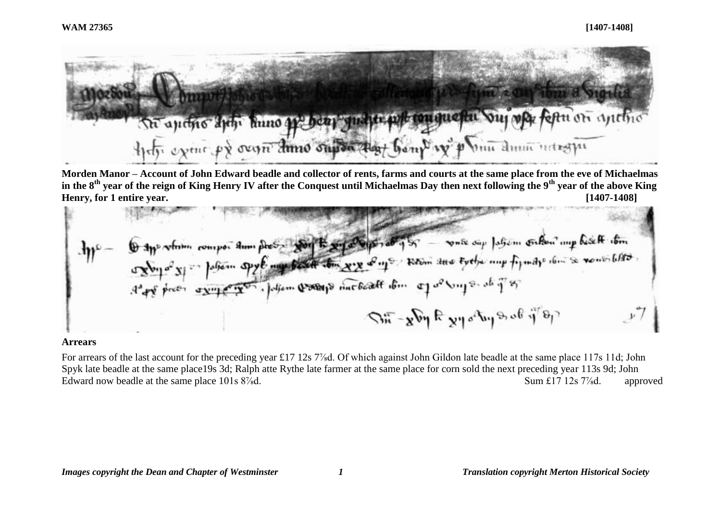

**Morden Manor – Account of John Edward beadle and collector of rents, farms and courts at the same place from the eve of Michaelmas in the 8th year of the reign of King Henry IV after the Conquest until Michaelmas Day then next following the 9th year of the above King Henry, for 1 entire year. [1407-1408]**

$$
A\psi = \oint \text{d}\psi \text{ when } \text{comp} \text{ at } \text{m} \text{ gives } \frac{1}{2} \int \text{d}\psi \text{ when } \text{p} \text{ is } \text{m} \text{ is } \text{m} \text{ is } \text{m} \text{ is } \text{m} \text{ is } \text{m} \text{ is } \text{m} \text{ is } \text{m} \text{ is } \text{m} \text{ is } \text{m} \text{ is } \text{m} \text{ is } \text{m} \text{ is } \text{m} \text{ is } \text{m} \text{ is } \text{m} \text{ is } \text{m} \text{ is } \text{m} \text{ is } \text{m} \text{ is } \text{m} \text{ is } \text{m} \text{ is } \text{m} \text{ is } \text{m} \text{ is } \text{m} \text{ is } \text{m} \text{ is } \text{m} \text{ is } \text{m} \text{ is } \text{m} \text{ is } \text{m} \text{ is } \text{m} \text{ is } \text{m} \text{ is } \text{m} \text{ is } \text{m} \text{ is } \text{m} \text{ is } \text{m} \text{ is } \text{m} \text{ is } \text{m} \text{ is } \text{m} \text{ is } \text{m} \text{ is } \text{m} \text{ is } \text{m} \text{ is } \text{m} \text{ is } \text{m} \text{ is } \text{m} \text{ is } \text{m} \text{ is } \text{m} \text{ is } \text{m} \text{ is } \text{m} \text{ is } \text{m} \text{ is } \text{m} \text{ is } \text{m} \text{ is } \text{m} \text{ is } \text{m} \text{ is } \text{m} \text{ is } \text{m} \text{ is } \text{m} \text{ is } \text{m} \text{ is } \text{m} \text{ is } \text{m} \text{ is } \text{m} \text{ is } \text{m} \text{ is } \text{m} \text{ is } \text{m} \text{ is } \text{m} \text{ is } \text{m} \text{ is } \text{m} \text{ is } \text{m} \text{ is } \text{m} \text{ is } \text{m} \text{ is } \text{m} \text{ is } \text{m} \text{ is } \text
$$

#### **Arrears**

For arrears of the last account for the preceding year £17 12s 7<sup>%</sup>d. Of which against John Gildon late beadle at the same place 117s 11d; John Spyk late beadle at the same place19s 3d; Ralph atte Rythe late farmer at the same place for corn sold the next preceding year 113s 9d; John Edward now beadle at the same place 101s 8<sup>7</sup>/<sub>8</sub>d. <br>
Sum £17 12s 7<sup>*/*8</sup>/<sub>8</sub>d. approved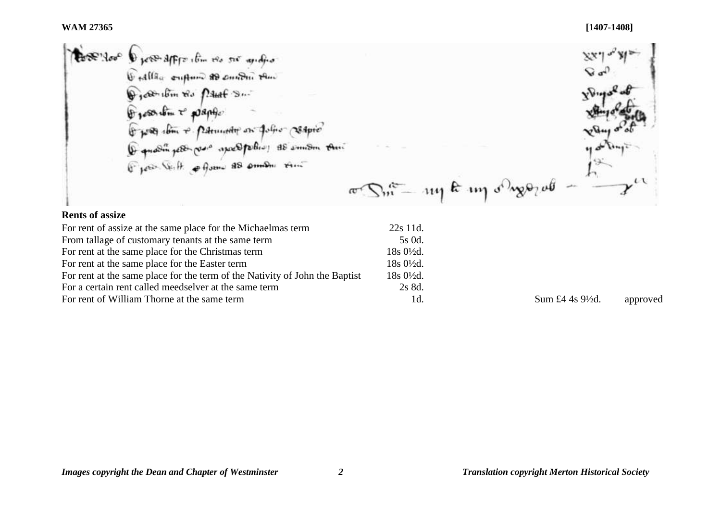**WAM 27365 [1407-1408]**

 $v_{\text{V}}$  $\pi$ Sm - 114 k 119 or sporal  $\iota$ 

#### **Rents of assize**

| For rent of assize at the same place for the Michaelmas term                | 22s 11d.               |                             |          |
|-----------------------------------------------------------------------------|------------------------|-----------------------------|----------|
| From tallage of customary tenants at the same term                          | 5s 0d.                 |                             |          |
| For rent at the same place for the Christmas term                           | $18s0\frac{1}{2}d$ .   |                             |          |
| For rent at the same place for the Easter term                              | $18s\,0\frac{1}{2}d$ . |                             |          |
| For rent at the same place for the term of the Nativity of John the Baptist | $18s0\frac{1}{2}d$ .   |                             |          |
| For a certain rent called meedselver at the same term                       | 2s 8d.                 |                             |          |
| For rent of William Thorne at the same term                                 | 1d.                    | Sum £4 4s $9\frac{1}{2}d$ . | approved |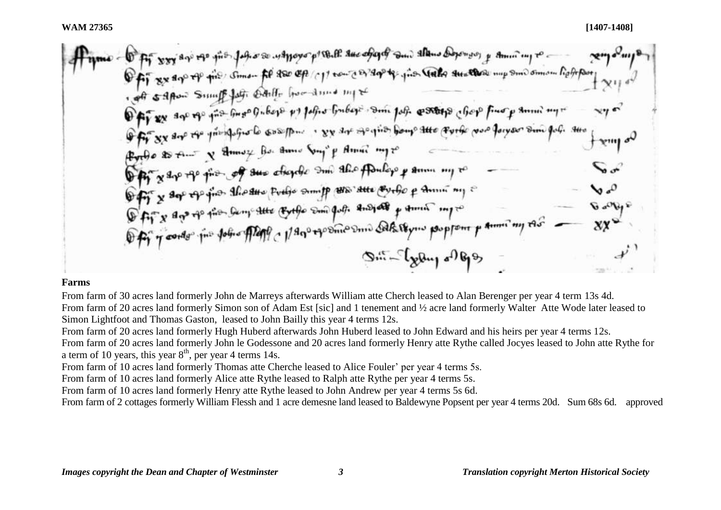- 1 ft xxx day of the Jeffier was prover po that sue of and the adoption of small more Off as an of the some of 850 cp/c11 tour of 2004; the Gate austhous my smoothism Referent of safton Sump for Odille for due my to Offices are my for further polities and polities for the form polities of state for fund p summer any Off sy are the principale computer sy are openion bough the porter pool for your simple. the Probe to the X Amoy Bo. Amer Sung & American pro Office & the river of the observer and the follow of time my to Offit x dep experient the date proble sump are due every p summings Offix ago to the Samp the Bythe sun put and all p time my to Office order the folio flat of 1/800 the success Salestyne proprom parmi my the  $\mathcal{D}^{\text{eff}}$  -  $\left\{ x\beta\omega_{1} \right\}$  of  $\Theta$ 

#### **Farms**

From farm of 30 acres land formerly John de Marreys afterwards William atte Cherch leased to Alan Berenger per year 4 term 13s 4d. From farm of 20 acres land formerly Simon son of Adam Est [sic] and 1 tenement and ½ acre land formerly Walter Atte Wode later leased to Simon Lightfoot and Thomas Gaston, leased to John Bailly this year 4 terms 12s.

From farm of 20 acres land formerly Hugh Huberd afterwards John Huberd leased to John Edward and his heirs per year 4 terms 12s.

From farm of 20 acres land formerly John le Godessone and 20 acres land formerly Henry atte Rythe called Jocyes leased to John atte Rythe for a term of 10 years, this year  $8<sup>th</sup>$ , per year 4 terms 14s.

From farm of 10 acres land formerly Thomas atte Cherche leased to Alice Fouler' per year 4 terms 5s.

From farm of 10 acres land formerly Alice atte Rythe leased to Ralph atte Rythe per year 4 terms 5s.

From farm of 10 acres land formerly Henry atte Rythe leased to John Andrew per year 4 terms 5s 6d.

From farm of 2 cottages formerly William Flessh and 1 acre demesne land leased to Baldewyne Popsent per year 4 terms 20d. Sum 68s 6d. approved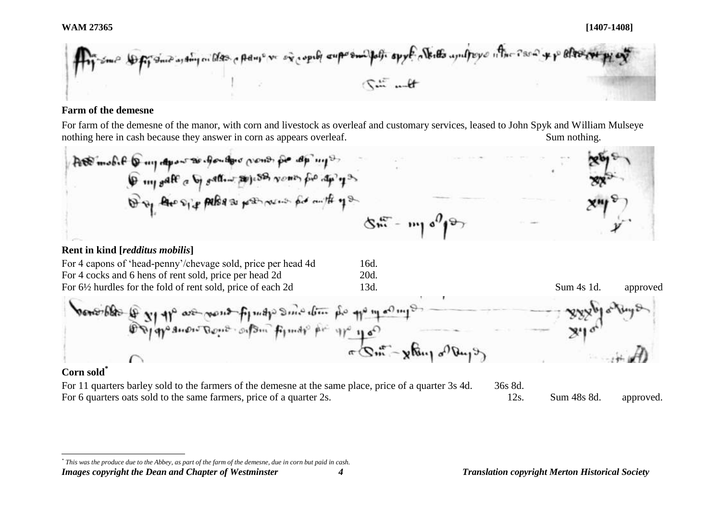Sout as they on blood of poly or and copily superimal falls spyl a thetto assulpcy of the Point

# **Farm of the demesne**

For farm of the demesne of the manor, with corn and livestock as overleaf and customary services, leased to John Spyk and William Mulseye nothing here in cash because they answer in corn as appears overleaf. Sum sum of Sum nothing.

# **Rent in kind [***redditus mobilis***]**

| For 4 capons of 'head-penny'/chevage sold, price per head 4d | 16d. |            |          |
|--------------------------------------------------------------|------|------------|----------|
| For 4 cocks and 6 hens of rent sold, price per head 2d       | 20d. |            |          |
| For 6½ hurdles for the fold of rent sold, price of each 2d   | 13d. | Sum 4s 1d. | approved |
|                                                              |      |            |          |



# **Corn sold\***

l

For 11 quarters barley sold to the farmers of the demesne at the same place, price of a quarter 3s 4d. 36s 8d. For 6 quarters oats sold to the same farmers, price of a quarter 2s. 12s. Sum 48s 8d. approved.

*Images copyright the Dean and Chapter of Westminster 4 Translation copyright Merton Historical Society \* This was the produce due to the Abbey, as part of the farm of the demesne, due in corn but paid in cash.*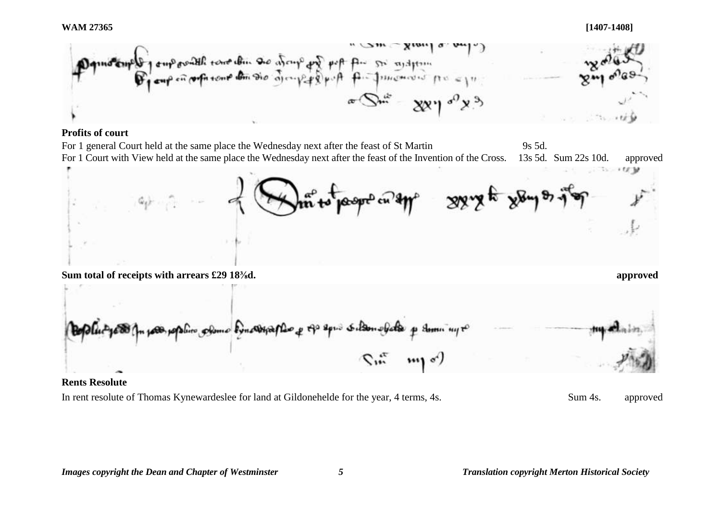**WAM 27365 [1407-1408]**



# **Profits of court**



# **Rents Resolute**

In rent resolute of Thomas Kynewardeslee for land at Gildonehelde for the year, 4 terms, 4s. Sum 4s. approved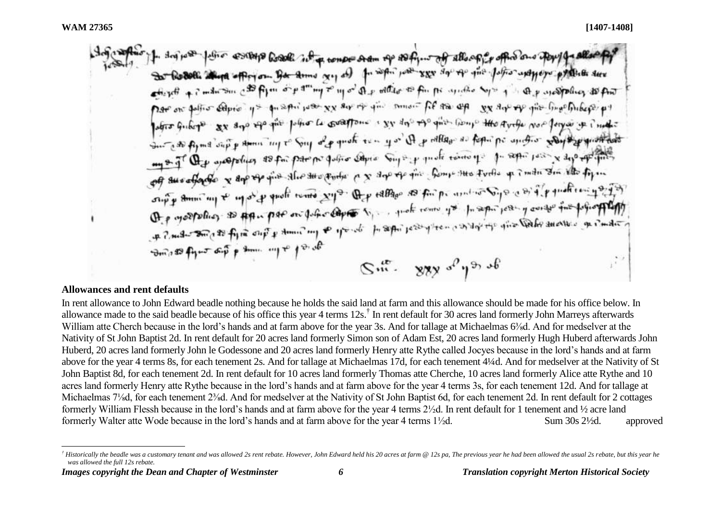#### **Allowances and rent defaults**

In rent allowance to John Edward beadle nothing because he holds the said land at farm and this allowance should be made for his office below. In allowance made to the said beadle because of his office this year 4 terms 12s.<sup>†</sup> In rent default for 30 acres land formerly John Marreys afterwards William atte Cherch because in the lord's hands and at farm above for the year 3s. And for tallage at Michaelmas 6<sup>3</sup>/<sub>8</sub>d. And for medselver at the Nativity of St John Baptist 2d. In rent default for 20 acres land formerly Simon son of Adam Est, 20 acres land formerly Hugh Huberd afterwards John Huberd, 20 acres land formerly John le Godessone and 20 acres land formerly Henry atte Rythe called Jocyes because in the lord's hands and at farm above for the year 4 terms 8s, for each tenement 2s. And for tallage at Michaelmas 17d, for each tenement 4¼d. And for medselver at the Nativity of St John Baptist 8d, for each tenement 2d. In rent default for 10 acres land formerly Thomas atte Cherche, 10 acres land formerly Alice atte Rythe and 10 acres land formerly Henry atte Rythe because in the lord's hands and at farm above for the year 4 terms 3s, for each tenement 12d. And for tallage at Michaelmas 7<sup>1</sup>/<sub>8</sub>d, for each tenement 2<sup>3</sup>/<sub>8</sub>d. And for medselver at the Nativity of St John Baptist 6d, for each tenement 2d. In rent default for 2 cottages formerly William Flessh because in the lord's hands and at farm above for the year 4 terms 2½d. In rent default for 1 tenement and ½ acre land formerly Walter atte Wode because in the lord's hands and at farm above for the year 4 terms 1½d. Sum 30s 2½d. approved

l  $^\dagger$  Historically the beadle was a customary tenant and was allowed 2s rent rebate. However. John Edward held his 20 acres at farm @ 12s pa. The previous vear he had been allowed the usual 2s rebate, but this vear he *was allowed the full 12s rebate.*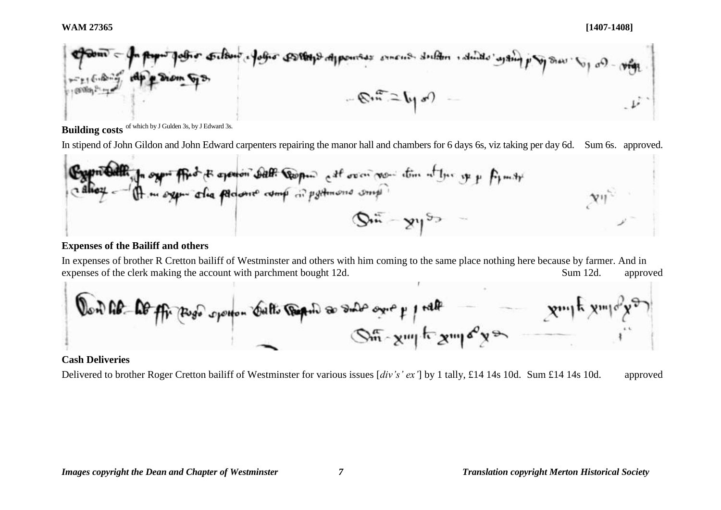

**Building costs** of which by J Gulden 3s, by J Edward 3s.

In stipend of John Gildon and John Edward carpenters repairing the manor hall and chambers for 6 days 6s, viz taking per day 6d. Sum 6s. approved.

**Exponential:** 
$$
f_1
$$
  $g_2$   $f_3$   $g_4$   $f_5$   $f_6$   $f_7$   $f_8$   $f_9$   $f_9$   $f_9$   $f_9$   $f_9$   $f_9$   $f_9$   $f_9$   $f_9$   $f_9$   $f_9$   $f_9$   $f_9$   $f_9$   $f_9$   $f_9$   $f_9$   $f_9$   $f_9$   $f_9$   $f_9$   $f_9$   $f_9$   $f_9$   $f_9$   $f_9$   $f_9$   $f_9$   $f_9$   $f_9$   $f_9$   $f_9$   $f_9$   $f_9$   $f_9$   $f_9$   $f_9$   $f_9$   $f_9$   $f_9$   $f_9$   $f_9$   $f_9$   $f_9$   $f_9$   $f_9$   $f_9$   $f_9$   $f_9$   $f_9$   $f_9$   $f_9$   $f_9$   $f_9$   $f_9$   $f_9$   $f_9$   $f_9$   $f_9$   $f_9$   $f_9$   $f_9$   $f_9$   $f_9$   $f_9$   $f_9$   $f_9$   $f_9$   $f_9$   $f_9$   $f_9$   $f_9$   $f_9$   $f_9$   $f_9$   $f_9$   $f_9$   $f_9$   $f_9$   $f_9$   $f_9$   $f_9$   $f_9$   $f_9$   $f_9$   $f_9$   $f_$ 

### **Expenses of the Bailiff and others**

In expenses of brother R Cretton bailiff of Westminster and others with him coming to the same place nothing here because by farmer. And in expenses of the clerk making the account with parchment bought 12d. Sum 12d. Sum 12d. approved



# **Cash Deliveries**

Delivered to brother Roger Cretton bailiff of Westminster for various issues [*div's' ex'*] by 1 tally, £14 14s 10d. Sum £14 14s 10d. approved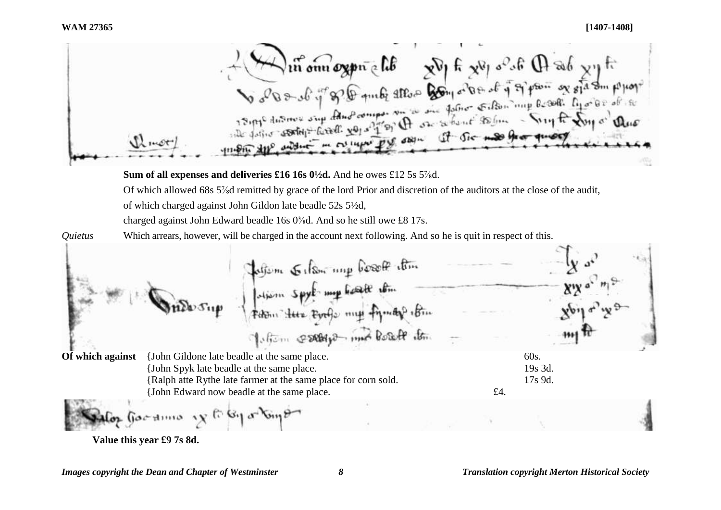- momogon elle elle elle elle de la gran of alle proper elle the address in current put on the one of the most ill mot

**Sum of all expenses and deliveries £16 16s 0½d.** And he owes £12 5s 5<sup>7</sup>/<sub>8</sub>d.

Of which allowed 68s 5<sup>7</sup>/<sub>8</sub>d remitted by grace of the lord Prior and discretion of the auditors at the close of the audit, of which charged against John Gildon late beadle 52s 5½d,

charged against John Edward beadle 16s 0<sup>3</sup>/<sub>8</sub>d. And so he still owe £8 17s.

*Quietus* Which arrears, however, will be charged in the account next following. And so he is quit in respect of this.

Interne Gelson und bosoft etten<br>Johann Spyk my bost tem<br>Feton tur Evelo my Fymby 16m Motion escays and boat its **Of which against** {John Gildone late beadle at the same place. 60s. {John Spyk late beadle at the same place. 19s 3d. {Ralph atte Rythe late farmer at the same place for corn sold. 17s 9d. {John Edward now beadle at the same place.  $\pounds 4$ .  $-$ amo  $\sqrt{x}$  for  $\sqrt{3}$  or  $\sqrt{6}$ mp

**Value this year £9 7s 8d.**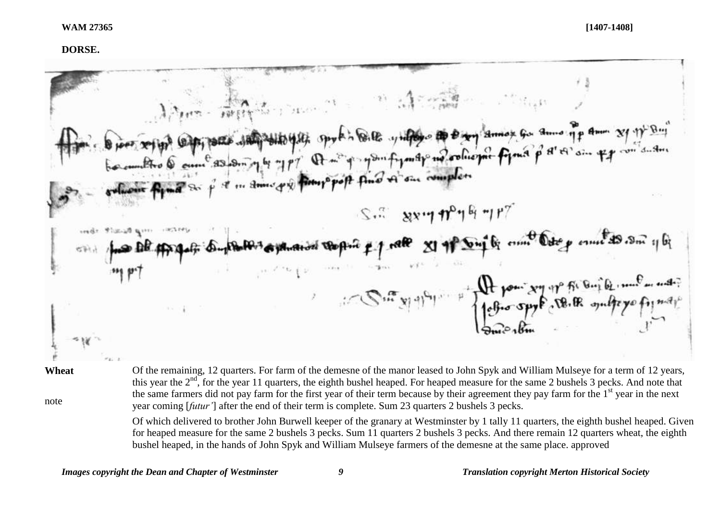#### **DORSE.**



note

Of the remaining, 12 quarters. For farm of the demesne of the manor leased to John Spyk and William Mulseye for a term of 12 years, this year the  $2<sup>nd</sup>$ , for the year 11 quarters, the eighth bushel heaped. For heaped measure for the same 2 bushels 3 pecks. And note that the same farmers did not pay farm for the first year of their term because by their agreement they pay farm for the  $1<sup>st</sup>$  year in the next year coming [*futur'*] after the end of their term is complete. Sum 23 quarters 2 bushels 3 pecks.

Of which delivered to brother John Burwell keeper of the granary at Westminster by 1 tally 11 quarters, the eighth bushel heaped. Given for heaped measure for the same 2 bushels 3 pecks. Sum 11 quarters 2 bushels 3 pecks. And there remain 12 quarters wheat, the eighth bushel heaped, in the hands of John Spyk and William Mulseye farmers of the demesne at the same place. approved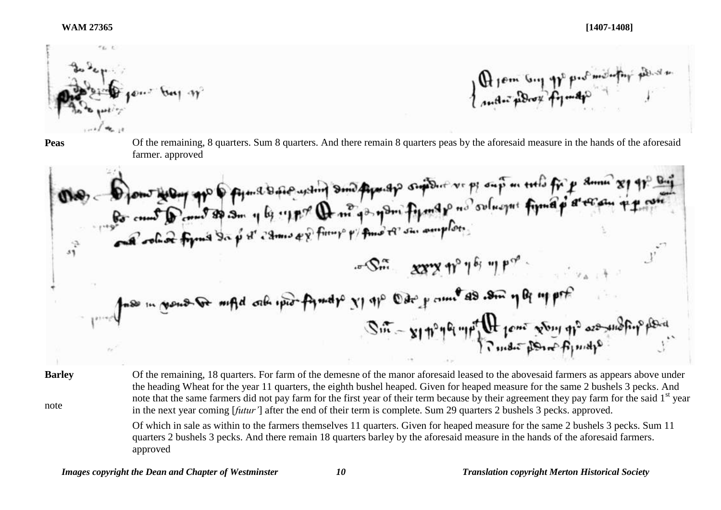#### **WAM 27365 [1407-1408]**



A tem Guy pp profinitely poster

**Peas** Of the remaining, 8 quarters. Sum 8 quarters. And there remain 8 quarters peas by the aforesaid measure in the hands of the aforesaid farmer. approved

**Barley**

note

Of the remaining, 18 quarters. For farm of the demesne of the manor aforesaid leased to the abovesaid farmers as appears above under the heading Wheat for the year 11 quarters, the eighth bushel heaped. Given for heaped measure for the same 2 bushels 3 pecks. And note that the same farmers did not pay farm for the first year of their term because by their agreement they pay farm for the said 1<sup>st</sup> year in the next year coming [*futur'*] after the end of their term is complete. Sum 29 quarters 2 bushels 3 pecks. approved.

Of which in sale as within to the farmers themselves 11 quarters. Given for heaped measure for the same 2 bushels 3 pecks. Sum 11 quarters 2 bushels 3 pecks. And there remain 18 quarters barley by the aforesaid measure in the hands of the aforesaid farmers. approved

*Images copyright the Dean and Chapter of Westminster 10 Translation copyright Merton Historical Society*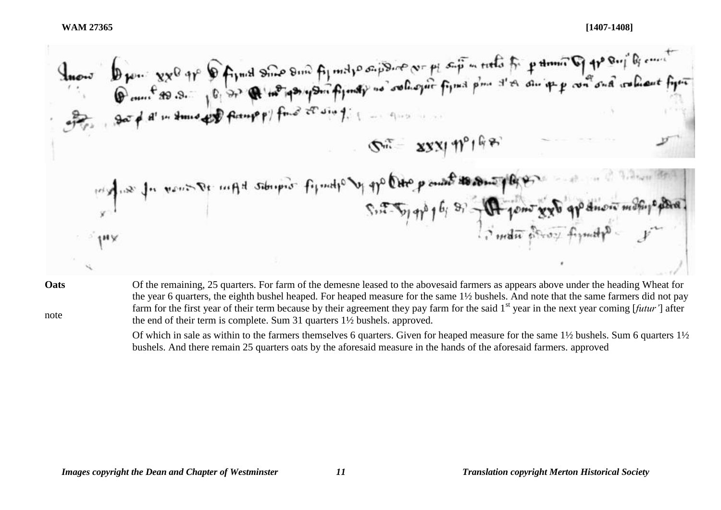Inous Dien 8x<sup>0</sup> 91° Definition on Ajmilie appresse or pl sip ments for primarily 11° Support of each the contract<br>
Came 80.3. 10 32 Q 1 no pay part finally no solve for find plan of an ipp con ond when fine SE XXXI 19198 Suit- Sy of the first state of the point of the point of the point of the point of the point of the point of the S. T. Top gpb 16; Si - A jens xx of gp dnow moth pepal **Oats**

note

Of the remaining, 25 quarters. For farm of the demesne leased to the abovesaid farmers as appears above under the heading Wheat for the year 6 quarters, the eighth bushel heaped. For heaped measure for the same 1½ bushels. And note that the same farmers did not pay farm for the first year of their term because by their agreement they pay farm for the said 1<sup>st</sup> year in the next year coming [*futur'*] after the end of their term is complete. Sum 31 quarters 1½ bushels. approved.

Of which in sale as within to the farmers themselves 6 quarters. Given for heaped measure for the same 1½ bushels. Sum 6 quarters 1½ bushels. And there remain 25 quarters oats by the aforesaid measure in the hands of the aforesaid farmers. approved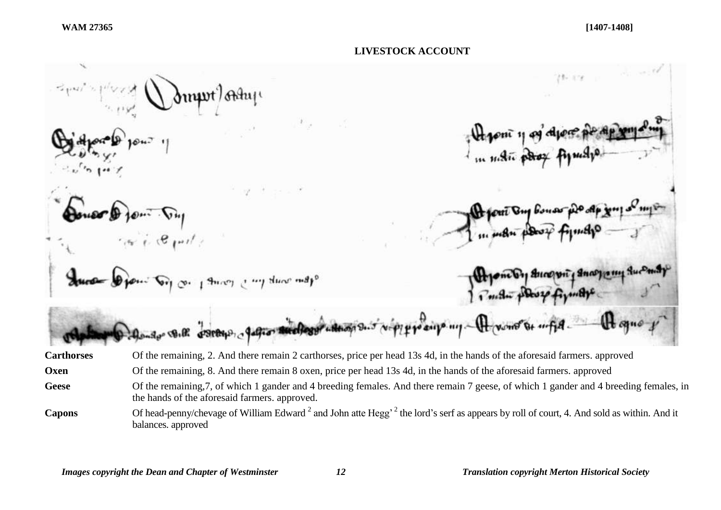

Capons Of head-penny/chevage of William Edward<sup>2</sup> and John atte Hegg<sup>, 2</sup> the lord's serf as appears by roll of court, 4. And sold as within. And it balances. approved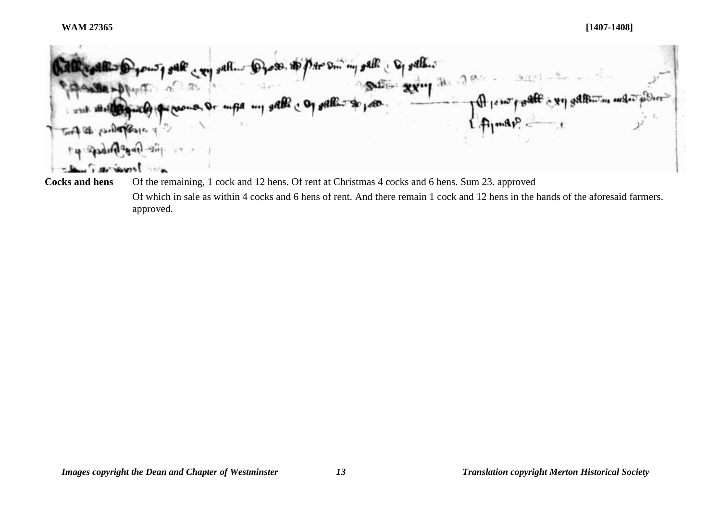ب **بھی ہے۔** شیخ میوا

**Cocks and hens** Of the remaining, 1 cock and 12 hens. Of rent at Christmas 4 cocks and 6 hens. Sum 23. approved Of which in sale as within 4 cocks and 6 hens of rent. And there remain 1 cock and 12 hens in the hands of the aforesaid farmers. approved.